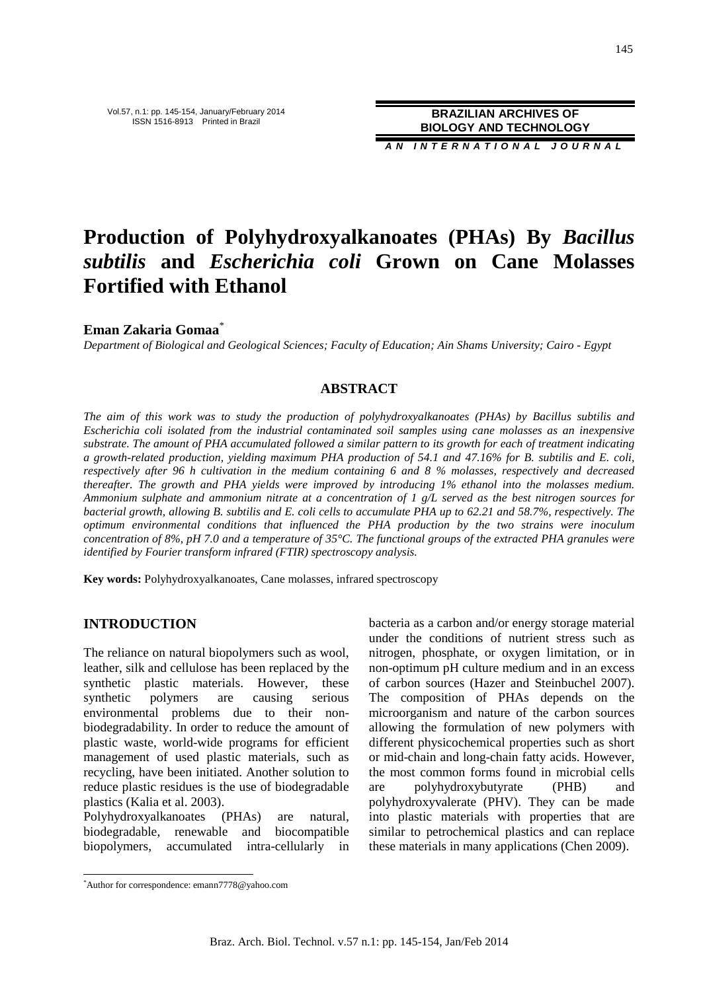**A N I N T E R N A T I O N A L J O U R N A L**

# **Production of Polyhydroxyalkanoates (PHAs) By** *Bacillus subtilis* **and** *Escherichia coli* **Grown on Cane Molasses Fortified with Ethanol**

**Eman Zakaria Gomaa**\*

*Department of Biological and Geological Sciences; Faculty of Education; Ain Shams University; Cairo - Egypt* 

## **ABSTRACT**

*The aim of this work was to study the production of polyhydroxyalkanoates (PHAs) by Bacillus subtilis and Escherichia coli isolated from the industrial contaminated soil samples using cane molasses as an inexpensive substrate. The amount of PHA accumulated followed a similar pattern to its growth for each of treatment indicating a growth-related production, yielding maximum PHA production of 54.1 and 47.16% for B. subtilis and E. coli, respectively after 96 h cultivation in the medium containing 6 and 8 % molasses, respectively and decreased thereafter. The growth and PHA yields were improved by introducing 1% ethanol into the molasses medium. Ammonium sulphate and ammonium nitrate at a concentration of 1 g/L served as the best nitrogen sources for bacterial growth, allowing B. subtilis and E. coli cells to accumulate PHA up to 62.21 and 58.7%, respectively. The optimum environmental conditions that influenced the PHA production by the two strains were inoculum concentration of 8%, pH 7.0 and a temperature of 35°C. The functional groups of the extracted PHA granules were identified by Fourier transform infrared (FTIR) spectroscopy analysis.* 

**Key words:** Polyhydroxyalkanoates, Cane molasses, infrared spectroscopy

## **INTRODUCTION**

The reliance on natural biopolymers such as wool, leather, silk and cellulose has been replaced by the synthetic plastic materials. However, these synthetic polymers are causing serious environmental problems due to their nonbiodegradability. In order to reduce the amount of plastic waste, world-wide programs for efficient management of used plastic materials, such as recycling, have been initiated. Another solution to reduce plastic residues is the use of biodegradable plastics (Kalia et al. 2003).

Polyhydroxyalkanoates (PHAs) are natural, biodegradable, renewable and biocompatible biopolymers, accumulated intra-cellularly in bacteria as a carbon and/or energy storage material under the conditions of nutrient stress such as nitrogen, phosphate, or oxygen limitation, or in non-optimum pH culture medium and in an excess of carbon sources (Hazer and Steinbuchel 2007). The composition of PHAs depends on the microorganism and nature of the carbon sources allowing the formulation of new polymers with different physicochemical properties such as short or mid-chain and long-chain fatty acids. However, the most common forms found in microbial cells are polyhydroxybutyrate (PHB) and polyhydroxyvalerate (PHV). They can be made into plastic materials with properties that are similar to petrochemical plastics and can replace these materials in many applications (Chen 2009).

 $\overline{a}$ 

<sup>\*</sup>Author for correspondence: emann7778@yahoo.com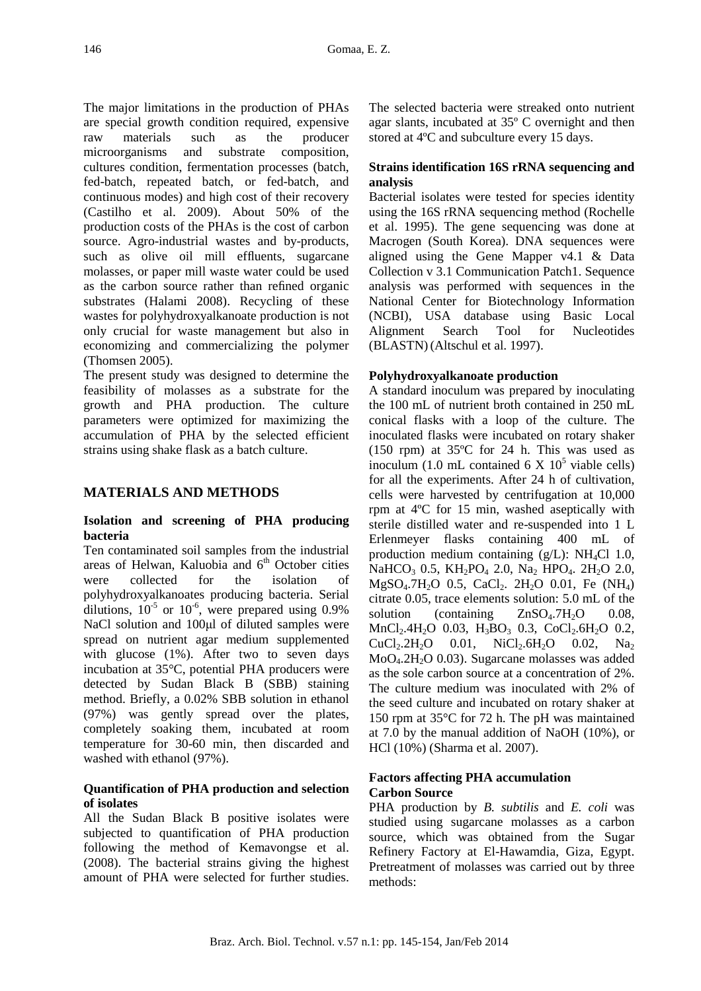The major limitations in the production of PHAs are special growth condition required, expensive raw materials such as the producer microorganisms and substrate composition, cultures condition, fermentation processes (batch, fed-batch, repeated batch, or fed-batch, and continuous modes) and high cost of their recovery (Castilho et al. 2009). About 50% of the production costs of the PHAs is the cost of carbon source. Agro-industrial wastes and by-products, such as olive oil mill effluents, sugarcane molasses, or paper mill waste water could be used as the carbon source rather than refined organic substrates (Halami 2008). Recycling of these wastes for polyhydroxyalkanoate production is not only crucial for waste management but also in economizing and commercializing the polymer (Thomsen 2005).

The present study was designed to determine the feasibility of molasses as a substrate for the growth and PHA production. The culture parameters were optimized for maximizing the accumulation of PHA by the selected efficient strains using shake flask as a batch culture.

# **MATERIALS AND METHODS**

## **Isolation and screening of PHA producing bacteria**

Ten contaminated soil samples from the industrial areas of Helwan, Kaluobia and  $6<sup>th</sup>$  October cities were collected for the isolation of polyhydroxyalkanoates producing bacteria. Serial dilutions,  $10^{-5}$  or  $10^{-6}$ , were prepared using 0.9% NaCl solution and 100 $\mu$ l of diluted samples were spread on nutrient agar medium supplemented with glucose (1%). After two to seven days incubation at 35°C, potential PHA producers were detected by Sudan Black B (SBB) staining method. Briefly, a 0.02% SBB solution in ethanol (97%) was gently spread over the plates, completely soaking them, incubated at room temperature for 30-60 min, then discarded and washed with ethanol (97%).

## **Quantification of PHA production and selection of isolates**

All the Sudan Black B positive isolates were subjected to quantification of PHA production following the method of Kemavongse et al. (2008). The bacterial strains giving the highest amount of PHA were selected for further studies. The selected bacteria were streaked onto nutrient agar slants, incubated at 35º C overnight and then stored at 4ºC and subculture every 15 days.

## **Strains identification 16S rRNA sequencing and analysis**

Bacterial isolates were tested for species identity using the 16S rRNA sequencing method (Rochelle et al. 1995). The gene sequencing was done at Macrogen (South Korea). DNA sequences were aligned using the Gene Mapper v4.1 & Data Collection v 3.1 Communication Patch1. Sequence analysis was performed with sequences in the National Center for Biotechnology Information (NCBI), USA database using Basic Local Alignment Search Tool for Nucleotides (BLASTN)(Altschul et al. 1997).

## **Polyhydroxyalkanoate production**

A standard inoculum was prepared by inoculating the 100 mL of nutrient broth contained in 250 mL conical flasks with a loop of the culture. The inoculated flasks were incubated on rotary shaker (150 rpm) at 35ºC for 24 h. This was used as inoculum  $(1.0 \text{ mL contained } 6 \text{ X } 10^5 \text{ viable cells})$ for all the experiments. After 24 h of cultivation, cells were harvested by centrifugation at 10,000 rpm at 4ºC for 15 min, washed aseptically with sterile distilled water and re-suspended into 1 L Erlenmeyer flasks containing 400 mL of production medium containing  $(g/L)$ : NH<sub>4</sub>Cl 1.0, NaHCO<sub>3</sub> 0.5, KH<sub>2</sub>PO<sub>4</sub> 2.0, Na<sub>2</sub> HPO<sub>4</sub>. 2H<sub>2</sub>O 2.0,  $MgSO_4$ .7H<sub>2</sub>O 0.5, CaCl<sub>2</sub>. 2H<sub>2</sub>O 0.01, Fe (NH<sub>4</sub>) citrate 0.05, trace elements solution: 5.0 mL of the solution (containing  $ZnSO<sub>4</sub>.7H<sub>2</sub>O$  0.08,  $MnCl<sub>2</sub>.4H<sub>2</sub>O$  0.03,  $H<sub>3</sub>BO<sub>3</sub>$  0.3, CoCl<sub>2</sub>.6H<sub>2</sub>O 0.2,  $CuCl<sub>2</sub>.2H<sub>2</sub>O$  0.01, NiCl<sub>2</sub>.6H<sub>2</sub>O 0.02, Na<sub>2</sub> MoO4.2H2O 0.03). Sugarcane molasses was added as the sole carbon source at a concentration of 2%. The culture medium was inoculated with 2% of the seed culture and incubated on rotary shaker at 150 rpm at 35°C for 72 h. The pH was maintained at 7.0 by the manual addition of NaOH (10%), or HCl (10%) (Sharma et al. 2007).

## **Factors affecting PHA accumulation Carbon Source**

PHA production by *B. subtilis* and *E. coli* was studied using sugarcane molasses as a carbon source, which was obtained from the Sugar Refinery Factory at El-Hawamdia, Giza, Egypt. Pretreatment of molasses was carried out by three methods: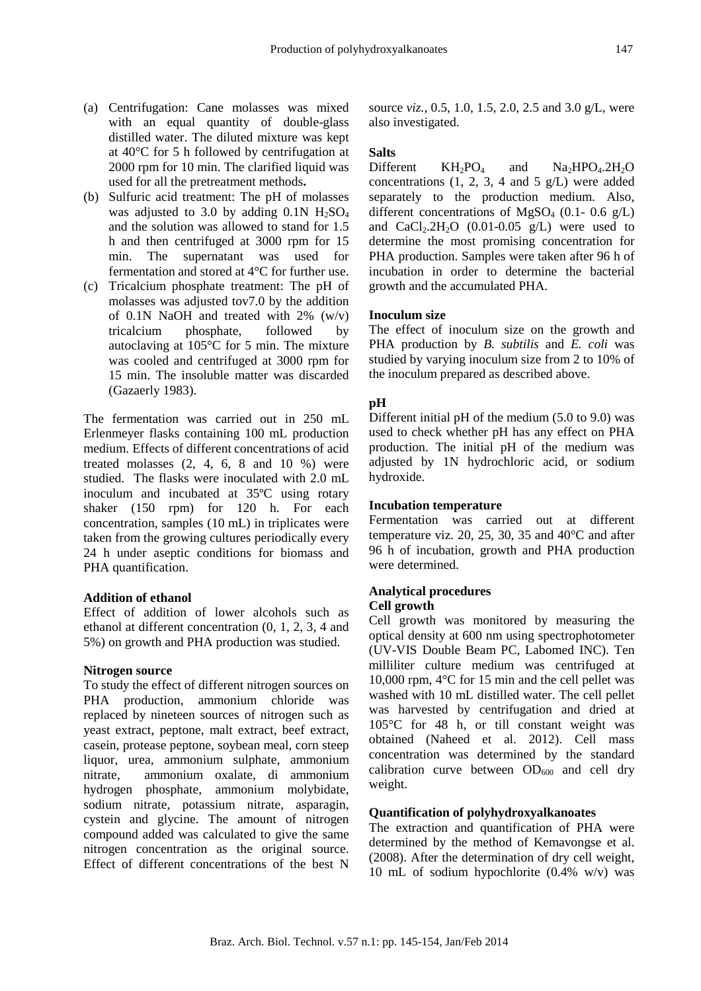- (a) Centrifugation: Cane molasses was mixed with an equal quantity of double-glass distilled water. The diluted mixture was kept at 40°C for 5 h followed by centrifugation at 2000 rpm for 10 min. The clarified liquid was used for all the pretreatment methods**.**
- (b) Sulfuric acid treatment: The pH of molasses was adjusted to 3.0 by adding  $0.1N$  H<sub>2</sub>SO<sub>4</sub> and the solution was allowed to stand for 1.5 h and then centrifuged at 3000 rpm for 15 min. The supernatant was used for fermentation and stored at 4°C for further use.
- (c) Tricalcium phosphate treatment: The pH of molasses was adjusted tov7.0 by the addition of 0.1N NaOH and treated with 2% (w/v) tricalcium phosphate, followed by autoclaving at 105°C for 5 min. The mixture was cooled and centrifuged at 3000 rpm for 15 min. The insoluble matter was discarded (Gazaerly 1983).

The fermentation was carried out in 250 mL Erlenmeyer flasks containing 100 mL production medium. Effects of different concentrations of acid treated molasses  $(2, 4, 6, 8, 10, 10, 9)$  were studied. The flasks were inoculated with 2.0 mL inoculum and incubated at 35ºC using rotary shaker (150 rpm) for 120 h. For each concentration, samples (10 mL) in triplicates were taken from the growing cultures periodically every 24 h under aseptic conditions for biomass and PHA quantification.

#### **Addition of ethanol**

Effect of addition of lower alcohols such as ethanol at different concentration (0, 1, 2, 3, 4 and 5%) on growth and PHA production was studied.

#### **Nitrogen source**

To study the effect of different nitrogen sources on PHA production, ammonium chloride was replaced by nineteen sources of nitrogen such as yeast extract, peptone, malt extract, beef extract, casein, protease peptone, soybean meal, corn steep liquor, urea, ammonium sulphate, ammonium nitrate, ammonium oxalate, di ammonium hydrogen phosphate, ammonium molybidate, sodium nitrate, potassium nitrate, asparagin, cystein and glycine. The amount of nitrogen compound added was calculated to give the same nitrogen concentration as the original source. Effect of different concentrations of the best N

source *viz.,* 0.5, 1.0, 1.5, 2.0, 2.5 and 3.0 g/L, were also investigated.

### **Salts**

Different  $KH_2PO_4$  and  $Na_2HPO_4.2H_2O$ concentrations  $(1, 2, 3, 4 \text{ and } 5 \text{ g/L})$  were added separately to the production medium. Also, different concentrations of MgSO<sub>4</sub> (0.1- 0.6 g/L) and  $CaCl<sub>2</sub>$ .2H<sub>2</sub>O (0.01-0.05 g/L) were used to determine the most promising concentration for PHA production. Samples were taken after 96 h of incubation in order to determine the bacterial growth and the accumulated PHA.

#### **Inoculum size**

The effect of inoculum size on the growth and PHA production by *B. subtilis* and *E. coli* was studied by varying inoculum size from 2 to 10% of the inoculum prepared as described above.

#### **pH**

Different initial pH of the medium (5.0 to 9.0) was used to check whether pH has any effect on PHA production. The initial pH of the medium was adjusted by 1N hydrochloric acid, or sodium hydroxide.

#### **Incubation temperature**

Fermentation was carried out at different temperature viz. 20, 25, 30, 35 and 40°C and after 96 h of incubation, growth and PHA production were determined.

#### **Analytical procedures Cell growth**

Cell growth was monitored by measuring the optical density at 600 nm using spectrophotometer (UV-VIS Double Beam PC, Labomed INC). Ten milliliter culture medium was centrifuged at 10,000 rpm, 4°C for 15 min and the cell pellet was washed with 10 mL distilled water. The cell pellet was harvested by centrifugation and dried at 105°C for 48 h, or till constant weight was obtained (Naheed et al. 2012). Cell mass concentration was determined by the standard calibration curve between  $OD_{600}$  and cell dry weight.

#### **Quantification of polyhydroxyalkanoates**

The extraction and quantification of PHA were determined by the method of Kemavongse et al. (2008). After the determination of dry cell weight, 10 mL of sodium hypochlorite (0.4% w/v) was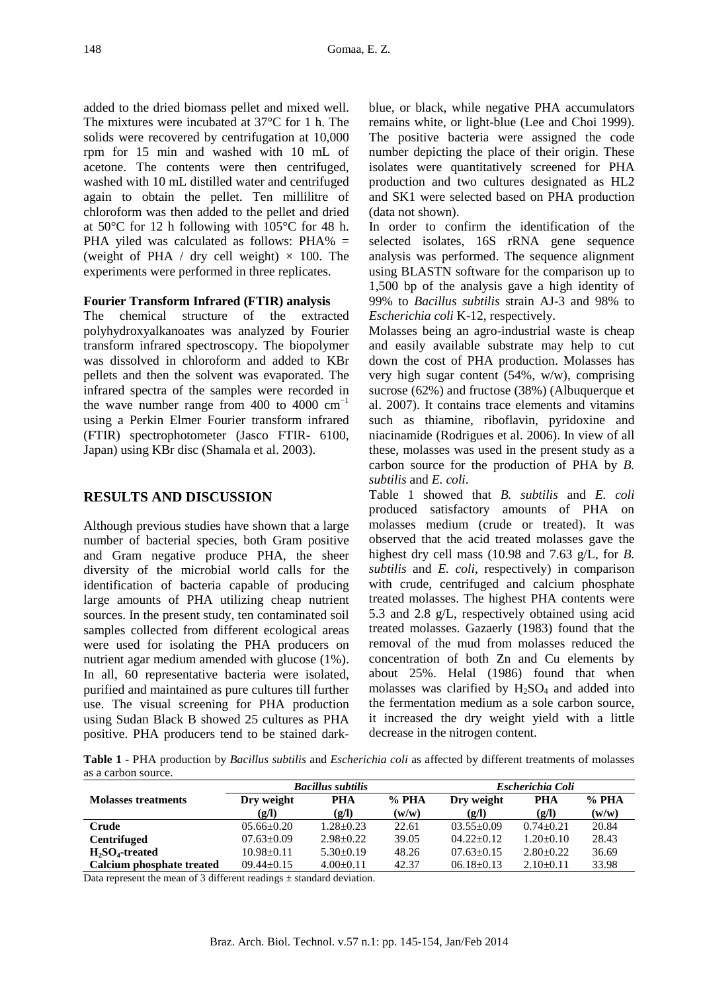added to the dried biomass pellet and mixed well. The mixtures were incubated at 37°C for 1 h. The solids were recovered by centrifugation at 10,000 rpm for 15 min and washed with 10 mL of acetone. The contents were then centrifuged, washed with 10 mL distilled water and centrifuged again to obtain the pellet. Ten millilitre of chloroform was then added to the pellet and dried at 50°C for 12 h following with 105°C for 48 h. PHA yiled was calculated as follows: PHA% = (weight of PHA / dry cell weight)  $\times$  100. The experiments were performed in three replicates.

## **Fourier Transform Infrared (FTIR) analysis**

The chemical structure of the extracted polyhydroxyalkanoates was analyzed by Fourier transform infrared spectroscopy. The biopolymer was dissolved in chloroform and added to KBr pellets and then the solvent was evaporated. The infrared spectra of the samples were recorded in the wave number range from 400 to 4000  $cm^{-1}$ using a Perkin Elmer Fourier transform infrared (FTIR) spectrophotometer (Jasco FTIR- 6100, Japan) using KBr disc (Shamala et al. 2003).

## **RESULTS AND DISCUSSION**

Although previous studies have shown that a large number of bacterial species, both Gram positive and Gram negative produce PHA, the sheer diversity of the microbial world calls for the identification of bacteria capable of producing large amounts of PHA utilizing cheap nutrient sources. In the present study, ten contaminated soil samples collected from different ecological areas were used for isolating the PHA producers on nutrient agar medium amended with glucose (1%). In all, 60 representative bacteria were isolated, purified and maintained as pure cultures till further use. The visual screening for PHA production using Sudan Black B showed 25 cultures as PHA positive. PHA producers tend to be stained darkblue, or black, while negative PHA accumulators remains white, or light-blue (Lee and Choi 1999). The positive bacteria were assigned the code number depicting the place of their origin. These isolates were quantitatively screened for PHA production and two cultures designated as HL2 and SK1 were selected based on PHA production (data not shown).

In order to confirm the identification of the selected isolates, 16S rRNA gene sequence analysis was performed. The sequence alignment using BLASTN software for the comparison up to 1,500 bp of the analysis gave a high identity of 99% to *Bacillus subtilis* strain AJ-3 and 98% to *Escherichia coli* K-12, respectively.

Molasses being an agro-industrial waste is cheap and easily available substrate may help to cut down the cost of PHA production. Molasses has very high sugar content (54%, w/w), comprising sucrose (62%) and fructose (38%) (Albuquerque et al. 2007). It contains trace elements and vitamins such as thiamine, riboflavin, pyridoxine and niacinamide (Rodrigues et al. 2006). In view of all these, molasses was used in the present study as a carbon source for the production of PHA by *B. subtilis* and *E. coli*.

Table 1 showed that *B. subtilis* and *E. coli* produced satisfactory amounts of PHA on molasses medium (crude or treated). It was observed that the acid treated molasses gave the highest dry cell mass (10.98 and 7.63 g/L, for *B. subtilis* and *E. coli*, respectively) in comparison with crude, centrifuged and calcium phosphate treated molasses. The highest PHA contents were 5.3 and 2.8 g/L, respectively obtained using acid treated molasses. Gazaerly (1983) found that the removal of the mud from molasses reduced the concentration of both Zn and Cu elements by about 25%. Helal (1986) found that when molasses was clarified by  $H_2SO_4$  and added into the fermentation medium as a sole carbon source, it increased the dry weight yield with a little decrease in the nitrogen content.

**Table 1 -** PHA production by *Bacillus subtilis* and *Escherichia coli* as affected by different treatments of molasses as a carbon source.

|                            |                  | <b>Bacillus subtilis</b> |         | Escherichia Coli |               |       |  |  |
|----------------------------|------------------|--------------------------|---------|------------------|---------------|-------|--|--|
| <b>Molasses treatments</b> | Dry weight       | PHA                      | $%$ PHA | Dry weight       | PHA           | % PHA |  |  |
|                            | (g/I)            | (g/l)                    | (w/w)   | (g/l)            | (g/I)         | (w/w) |  |  |
| Crude                      | $0.5.66 + 0.20$  | $1.28 + 0.23$            | 22.61   | $03.55+0.09$     | $0.74 + 0.21$ | 20.84 |  |  |
| <b>Centrifuged</b>         | $07.63 \pm 0.09$ | $2.98 + 0.22$            | 39.05   | $04.22+0.12$     | $1.20+0.10$   | 28.43 |  |  |
| $H_2SO_4$ -treated         | $10.98 + 0.11$   | $5.30+0.19$              | 48.26   | $07.63+0.15$     | $2.80+0.22$   | 36.69 |  |  |
| Calcium phosphate treated  | $09.44 + 0.15$   | $4.00 \pm 0.11$          | 42.37   | $06.18 + 0.13$   | $2.10+0.11$   | 33.98 |  |  |

Data represent the mean of 3 different readings  $\pm$  standard deviation.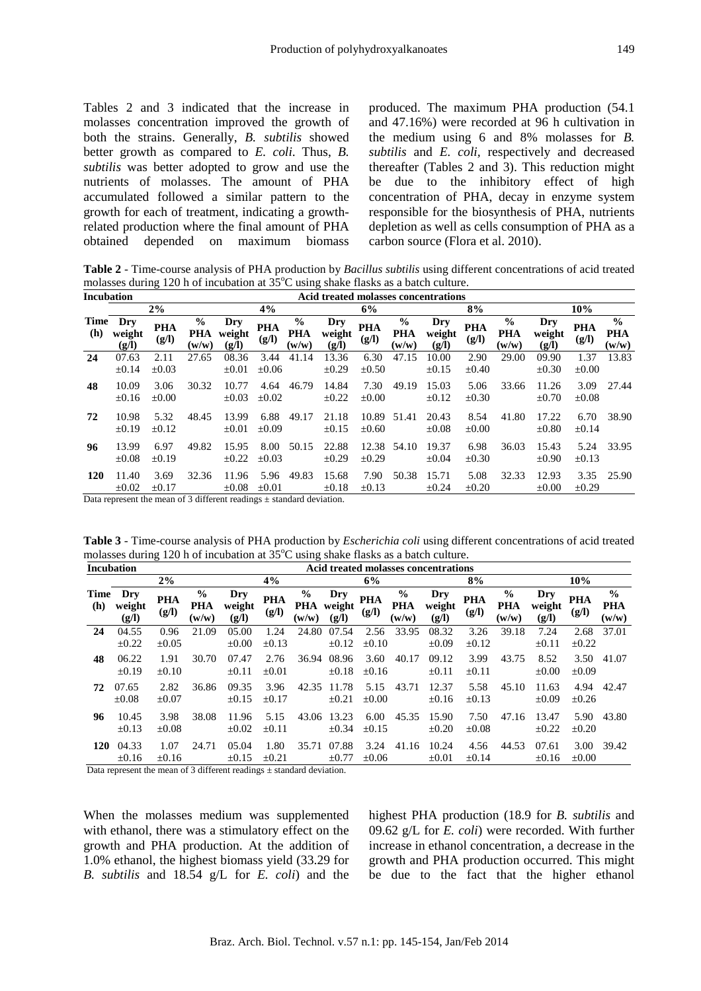Tables 2 and 3 indicated that the increase in molasses concentration improved the growth of both the strains. Generally, *B. subtilis* showed better growth as compared to *E. coli*. Thus, *B. subtilis* was better adopted to grow and use the nutrients of molasses. The amount of PHA accumulated followed a similar pattern to the growth for each of treatment, indicating a growthrelated production where the final amount of PHA obtained depended on maximum biomass produced. The maximum PHA production (54.1 and 47.16%) were recorded at 96 h cultivation in the medium using 6 and 8% molasses for *B. subtilis* and *E. coli,* respectively and decreased thereafter (Tables 2 and 3). This reduction might be due to the inhibitory effect of high concentration of PHA, decay in enzyme system responsible for the biosynthesis of PHA, nutrients depletion as well as cells consumption of PHA as a carbon source (Flora et al. 2010).

**Table 2** - Time-course analysis of PHA production by *Bacillus subtilis* using different concentrations of acid treated molasses during 120 h of incubation at  $35^{\circ}$ C using shake flasks as a batch culture.

| <b>Incubation</b> |                        |                     |                                      |                        |                     |                                      |                        |                     |                                      | Acid treated molasses concentrations |                     |                               |                        |                     |                                      |
|-------------------|------------------------|---------------------|--------------------------------------|------------------------|---------------------|--------------------------------------|------------------------|---------------------|--------------------------------------|--------------------------------------|---------------------|-------------------------------|------------------------|---------------------|--------------------------------------|
|                   |                        | 2%                  |                                      |                        | 4%                  |                                      |                        | 6%                  |                                      |                                      | 8%                  |                               |                        | 10%                 |                                      |
| Time<br>(h)       | Dry<br>weight<br>(g/l) | <b>PHA</b><br>(g/l) | $\frac{0}{0}$<br><b>PHA</b><br>(w/w) | Dry<br>weight<br>(g/l) | <b>PHA</b><br>(g/l) | $\frac{0}{0}$<br><b>PHA</b><br>(w/w) | Dry<br>weight<br>(g/I) | <b>PHA</b><br>(g/l) | $\frac{0}{0}$<br><b>PHA</b><br>(w/w) | Dry<br>weight<br>(g/I)               | <b>PHA</b><br>(g/l) | $\frac{0}{0}$<br>PHA<br>(w/w) | Dry<br>weight<br>(g/I) | <b>PHA</b><br>(g/I) | $\frac{0}{0}$<br><b>PHA</b><br>(w/w) |
| 24                | 07.63<br>$\pm 0.14$    | 2.11<br>$\pm 0.03$  | 27.65                                | 08.36<br>$\pm 0.01$    | 3.44<br>$\pm 0.06$  | 41.14                                | 13.36<br>$\pm 0.29$    | 6.30<br>$\pm 0.50$  | 47.15                                | 10.00<br>$\pm 0.15$                  | 2.90<br>$\pm 0.40$  | 29.00                         | 09.90<br>$\pm 0.30$    | 1.37<br>$\pm 0.00$  | 13.83                                |
| 48                | 10.09<br>$\pm 0.16$    | 3.06<br>$\pm 0.00$  | 30.32                                | 10.77<br>$\pm 0.03$    | 4.64<br>$\pm 0.02$  | 46.79                                | 14.84<br>$\pm 0.22$    | 7.30<br>$\pm 0.00$  | 49.19                                | 15.03<br>$\pm 0.12$                  | 5.06<br>$\pm 0.30$  | 33.66                         | 11.26<br>$\pm 0.70$    | 3.09<br>$\pm 0.08$  | 27.44                                |
| 72                | 10.98<br>$\pm 0.19$    | 5.32<br>$\pm 0.12$  | 48.45                                | 13.99<br>$\pm 0.01$    | 6.88<br>$\pm 0.09$  | 49.17                                | 21.18<br>$\pm 0.15$    | 10.89<br>$\pm 0.60$ | 51.41                                | 20.43<br>$\pm 0.08$                  | 8.54<br>$\pm 0.00$  | 41.80                         | 17.22<br>$\pm 0.80$    | 6.70<br>$\pm 0.14$  | 38.90                                |
| 96                | 13.99<br>$\pm 0.08$    | 6.97<br>$\pm 0.19$  | 49.82                                | 15.95<br>$\pm 0.22$    | 8.00<br>$\pm 0.03$  | 50.15                                | 22.88<br>$\pm 0.29$    | 12.38<br>$\pm 0.29$ | 54.10                                | 19.37<br>$\pm 0.04$                  | 6.98<br>$\pm 0.30$  | 36.03                         | 15.43<br>$\pm 0.90$    | 5.24<br>$\pm 0.13$  | 33.95                                |
| <b>120</b>        | 11.40<br>$\pm 0.02$    | 3.69<br>$\pm 0.17$  | 32.36                                | 11.96<br>$\pm 0.08$    | 5.96<br>$\pm 0.01$  | 49.83                                | 15.68<br>$\pm 0.18$    | 7.90<br>$\pm 0.13$  | 50.38                                | 15.71<br>$\pm 0.24$                  | 5.08<br>$\pm 0.20$  | 32.33                         | 12.93<br>$\pm 0.00$    | 3.35<br>$\pm 0.29$  | 25.90                                |

Data represent the mean of  $\frac{2}{3}$  different readings + standard deviation.

**Table 3** - Time-course analysis of PHA production by *Escherichia coli* using different concentrations of acid treated molasses during 120 h of incubation at  $35^{\circ}$ C using shake flasks as a batch culture.

| <b>Incubation</b> |                        |                     |                               |                        |                     |                               |                        |                     |                                      | Acid treated molasses concentrations |                     |                                      |                        |                     |                                      |
|-------------------|------------------------|---------------------|-------------------------------|------------------------|---------------------|-------------------------------|------------------------|---------------------|--------------------------------------|--------------------------------------|---------------------|--------------------------------------|------------------------|---------------------|--------------------------------------|
|                   |                        | 2%                  |                               |                        | 4%                  |                               |                        | 6%                  |                                      |                                      | 8%                  |                                      |                        | 10%                 |                                      |
| Time<br>(h)       | Dry<br>weight<br>(g/l) | <b>PHA</b><br>(g/l) | $\frac{6}{9}$<br>PHA<br>(w/w) | Dry<br>weight<br>(g/l) | <b>PHA</b><br>(g/l) | $\frac{6}{9}$<br>PHA<br>(w/w) | Dry<br>weight<br>(g/l) | <b>PHA</b><br>(g/l) | $\frac{0}{0}$<br><b>PHA</b><br>(w/w) | Dry<br>weight<br>(g/l)               | <b>PHA</b><br>(g/l) | $\frac{6}{9}$<br><b>PHA</b><br>(w/w) | Dry<br>weight<br>(g/I) | <b>PHA</b><br>(g/l) | $\frac{6}{9}$<br><b>PHA</b><br>(w/w) |
| 24                | 04.55<br>±0.22         | 0.96<br>$\pm 0.05$  | 21.09                         | 05.00<br>$\pm 0.00$    | 1.24<br>$\pm 0.13$  | 24.80                         | 07.54<br>$\pm 0.12$    | 2.56<br>$\pm 0.10$  | 33.95                                | 08.32<br>$\pm 0.09$                  | 3.26<br>$\pm 0.12$  | 39.18                                | 7.24<br>$\pm 0.11$     | 2.68<br>$\pm 0.22$  | 37.01                                |
| 48                | 06.22<br>$\pm 0.19$    | 1.91<br>$\pm 0.10$  | 30.70                         | 07.47<br>$\pm 0.11$    | 2.76<br>$\pm 0.01$  | 36.94                         | 08.96<br>$\pm 0.18$    | 3.60<br>$\pm 0.16$  | 40.17                                | 09.12<br>$\pm 0.11$                  | 3.99<br>$\pm 0.11$  | 43.75                                | 8.52<br>$\pm 0.00$     | 3.50<br>$\pm 0.09$  | 41.07                                |
| 72                | 07.65<br>$\pm 0.08$    | 2.82<br>$\pm 0.07$  | 36.86                         | 09.35<br>$\pm 0.15$    | 3.96<br>$\pm 0.17$  | 42.35                         | 11.78<br>$\pm 0.21$    | 5.15<br>$\pm 0.00$  | 43.71                                | 12.37<br>$\pm 0.16$                  | 5.58<br>$\pm 0.13$  | 45.10                                | 11.63<br>$\pm 0.09$    | 4.94<br>$\pm 0.26$  | 42.47                                |
| 96                | 10.45<br>$\pm 0.13$    | 3.98<br>$\pm 0.08$  | 38.08                         | 11.96<br>$\pm 0.02$    | 5.15<br>$\pm 0.11$  | 43.06                         | 13.23<br>$\pm 0.34$    | 6.00<br>$\pm 0.15$  | 45.35                                | 15.90<br>$\pm 0.20$                  | 7.50<br>$\pm 0.08$  | 47.16                                | 13.47<br>$\pm 0.22$    | 5.90<br>$\pm 0.20$  | 43.80                                |
| <b>120</b>        | 04.33<br>$\pm 0.16$    | 1.07<br>$\pm 0.16$  | 24.71                         | 05.04<br>$\pm 0.15$    | 1.80<br>$\pm 0.21$  | 35.71                         | 07.88<br>$\pm 0.77$    | 3.24<br>$\pm 0.06$  | 41.16                                | 10.24<br>$\pm 0.01$                  | 4.56<br>$\pm 0.14$  | 44.53                                | 07.61<br>$\pm 0.16$    | 3.00<br>$\pm 0.00$  | 39.42                                |

Data represent the mean of 3 different readings + standard deviation.

When the molasses medium was supplemented with ethanol, there was a stimulatory effect on the growth and PHA production. At the addition of 1.0% ethanol, the highest biomass yield (33.29 for *B. subtilis* and 18.54 g/L for *E. coli*) and the highest PHA production (18.9 for *B. subtilis* and 09.62 g/L for *E. coli*) were recorded. With further increase in ethanol concentration, a decrease in the growth and PHA production occurred. This might be due to the fact that the higher ethanol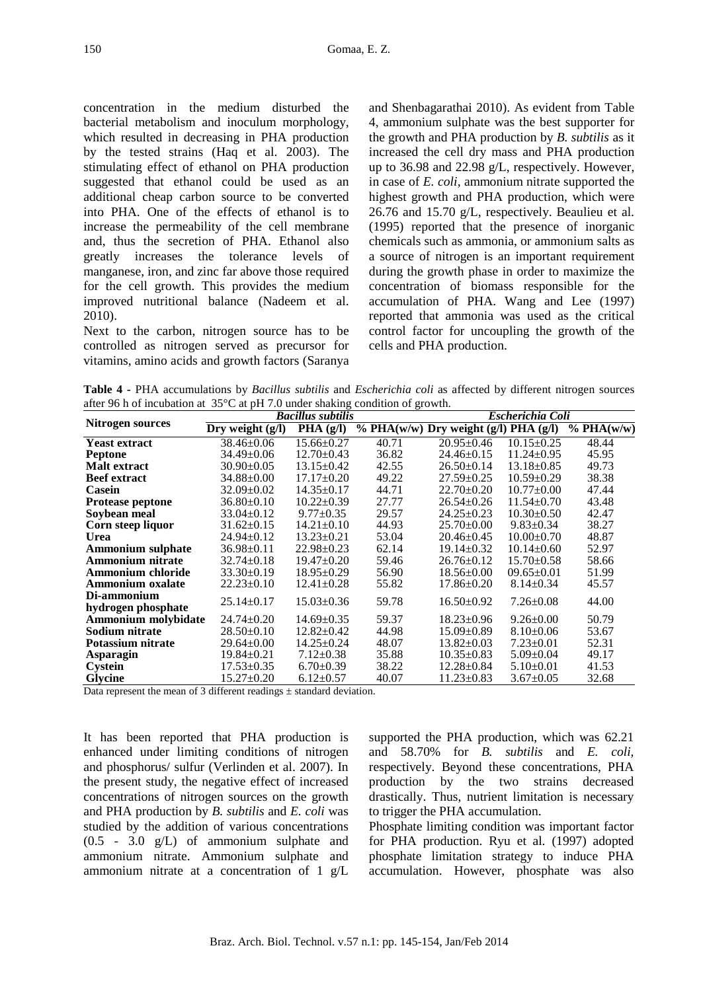concentration in the medium disturbed the bacterial metabolism and inoculum morphology, which resulted in decreasing in PHA production by the tested strains (Haq et al. 2003). The stimulating effect of ethanol on PHA production suggested that ethanol could be used as an additional cheap carbon source to be converted into PHA. One of the effects of ethanol is to increase the permeability of the cell membrane and, thus the secretion of PHA. Ethanol also greatly increases the tolerance levels of manganese, iron, and zinc far above those required for the cell growth. This provides the medium improved nutritional balance (Nadeem et al. 2010).

Next to the carbon, nitrogen source has to be controlled as nitrogen served as precursor for vitamins, amino acids and growth factors (Saranya

and Shenbagarathai 2010). As evident from Table 4, ammonium sulphate was the best supporter for the growth and PHA production by *B. subtilis* as it increased the cell dry mass and PHA production up to 36.98 and 22.98 g/L, respectively. However, in case of *E. coli,* ammonium nitrate supported the highest growth and PHA production, which were 26.76 and 15.70 g/L, respectively. Beaulieu et al*.* (1995) reported that the presence of inorganic chemicals such as ammonia, or ammonium salts as a source of nitrogen is an important requirement during the growth phase in order to maximize the concentration of biomass responsible for the accumulation of PHA. Wang and Lee (1997) reported that ammonia was used as the critical control factor for uncoupling the growth of the cells and PHA production.

**Table 4 -** PHA accumulations by *Bacillus subtilis* and *Escherichia coli* as affected by different nitrogen sources after 96 h of incubation at 35°C at pH 7.0 under shaking condition of growth.

|                                   |                                        | <b>Bacillus subtilis</b> | $\epsilon$ on the set of $\epsilon$ |                                         | <b>Escherichia Coli</b> |                             |
|-----------------------------------|----------------------------------------|--------------------------|-------------------------------------|-----------------------------------------|-------------------------|-----------------------------|
| Nitrogen sources                  | $\overline{\mathrm{Dry}}$ weight (g/l) | $\overline{PHA(g/I)}$    |                                     | $% PHA(w/w)$ Dry weight (g/l) PHA (g/l) |                         | $\sqrt[6]{\text{PHA}(w/w)}$ |
| <b>Yeast extract</b>              | $38.46 \pm 0.06$                       | $15.66 \pm 0.27$         | 40.71                               | $20.95 \pm 0.46$                        | $10.15 \pm 0.25$        | 48.44                       |
| <b>Peptone</b>                    | 34.49±0.06                             | $12.70 \pm 0.43$         | 36.82                               | $24.46 \pm 0.15$                        | $11.24 \pm 0.95$        | 45.95                       |
| <b>Malt</b> extract               | $30.90 \pm 0.05$                       | $13.15 \pm 0.42$         | 42.55                               | $26.50+0.14$                            | $13.18 \pm 0.85$        | 49.73                       |
| <b>Beef</b> extract               | $34.88 \pm 0.00$                       | $17.17 \pm 0.20$         | 49.22                               | $27.59 \pm 0.25$                        | $10.59 \pm 0.29$        | 38.38                       |
| Casein                            | $32.09 \pm 0.02$                       | $14.35 \pm 0.17$         | 44.71                               | $22.70 \pm 0.20$                        | $10.77 \pm 0.00$        | 47.44                       |
| Protease peptone                  | $36.80 \pm 0.10$                       | $10.22 \pm 0.39$         | 27.77                               | $26.54 \pm 0.26$                        | $11.54 \pm 0.70$        | 43.48                       |
| Soybean meal                      | $33.04 \pm 0.12$                       | $9.77 \pm 0.35$          | 29.57                               | $24.25 \pm 0.23$                        | $10.30 \pm 0.50$        | 42.47                       |
| Corn steep liquor                 | $31.62 \pm 0.15$                       | $14.21 \pm 0.10$         | 44.93                               | $25.70 \pm 0.00$                        | $9.83 \pm 0.34$         | 38.27                       |
| Urea                              | $24.94 \pm 0.12$                       | $13.23 \pm 0.21$         | 53.04                               | $20.46 \pm 0.45$                        | $10.00 \pm 0.70$        | 48.87                       |
| <b>Ammonium sulphate</b>          | $36.98 \pm 0.11$                       | $22.98 \pm 0.23$         | 62.14                               | $19.14 \pm 0.32$                        | $10.14 \pm 0.60$        | 52.97                       |
| <b>Ammonium nitrate</b>           | $32.74 \pm 0.18$                       | $19.47 \pm 0.20$         | 59.46                               | $26.76 \pm 0.12$                        | $15.70 \pm 0.58$        | 58.66                       |
| Ammonium chloride                 | $33.30 \pm 0.19$                       | $18.95 \pm 0.29$         | 56.90                               | $18.56 \pm 0.00$                        | $09.65 \pm 0.01$        | 51.99                       |
| <b>Ammonium oxalate</b>           | $22.23 \pm 0.10$                       | $12.41 \pm 0.28$         | 55.82                               | $17.86 \pm 0.20$                        | $8.14 \pm 0.34$         | 45.57                       |
| Di-ammonium<br>hydrogen phosphate | $25.14 \pm 0.17$                       | $15.03 \pm 0.36$         | 59.78                               | $16.50 \pm 0.92$                        | $7.26 \pm 0.08$         | 44.00                       |
| Ammonium molybidate               | $24.74 \pm 0.20$                       | $14.69 \pm 0.35$         | 59.37                               | $18.23 \pm 0.96$                        | $9.26 \pm 0.00$         | 50.79                       |
| Sodium nitrate                    | $28.50 \pm 0.10$                       | $12.82 \pm 0.42$         | 44.98                               | $15.09 \pm 0.89$                        | $8.10\pm0.06$           | 53.67                       |
| Potassium nitrate                 | $29.64 \pm 0.00$                       | $14.25 \pm 0.24$         | 48.07                               | $13.82 \pm 0.03$                        | $7.23 \pm 0.01$         | 52.31                       |
| Asparagin                         | $19.84 \pm 0.21$                       | $7.12 \pm 0.38$          | 35.88                               | $10.35 \pm 0.83$                        | $5.09 \pm 0.04$         | 49.17                       |
| <b>Cystein</b>                    | $17.53 \pm 0.35$                       | $6.70 \pm 0.39$          | 38.22                               | $12.28 \pm 0.84$                        | $5.10\pm0.01$           | 41.53                       |
| Glycine                           | 15.27±0.20                             | $6.12 \pm 0.57$          | 40.07                               | $11.23 \pm 0.83$                        | $3.67 \pm 0.05$         | 32.68                       |

Data represent the mean of 3 different readings  $\pm$  standard deviation.

It has been reported that PHA production is enhanced under limiting conditions of nitrogen and phosphorus/ sulfur (Verlinden et al. 2007). In the present study, the negative effect of increased concentrations of nitrogen sources on the growth and PHA production by *B. subtilis* and *E. coli* was studied by the addition of various concentrations (0.5 - 3.0 g/L) of ammonium sulphate and ammonium nitrate. Ammonium sulphate and ammonium nitrate at a concentration of 1 g/L supported the PHA production, which was 62.21 and 58.70% for *B. subtilis* and *E. coli,*  respectively. Beyond these concentrations, PHA production by the two strains decreased drastically. Thus, nutrient limitation is necessary to trigger the PHA accumulation.

Phosphate limiting condition was important factor for PHA production. Ryu et al*.* (1997) adopted phosphate limitation strategy to induce PHA accumulation. However, phosphate was also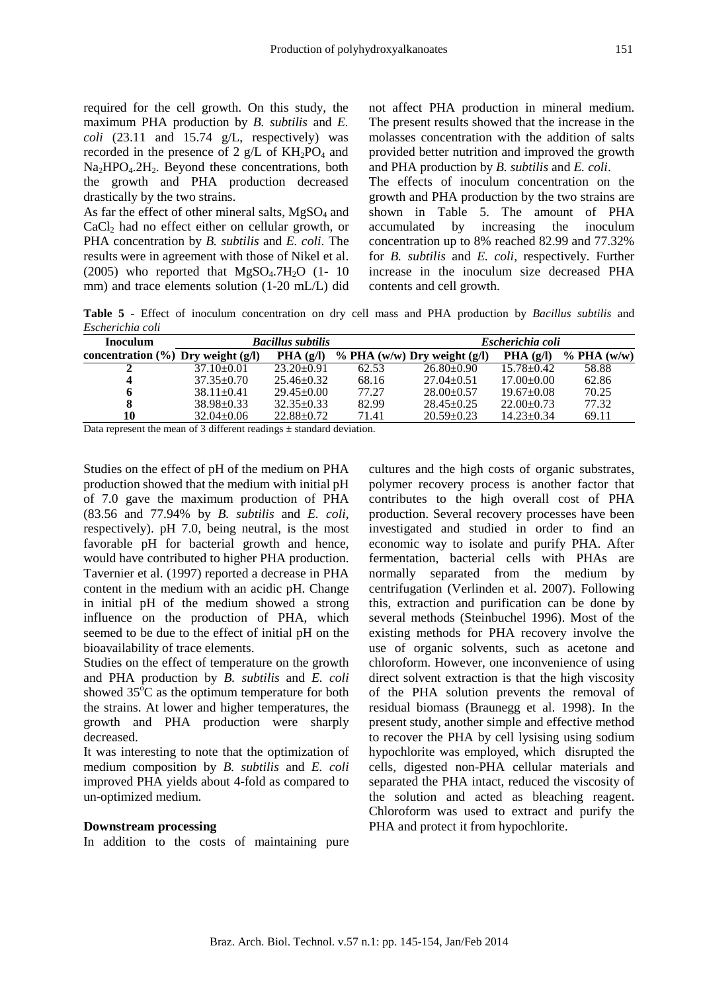required for the cell growth. On this study, the maximum PHA production by *B. subtilis* and *E. coli*  $(23.11 \text{ and } 15.74 \text{ g/L}$ , respectively) was recorded in the presence of 2  $g/L$  of  $KH_2PO_4$  and Na<sub>2</sub>HPO<sub>4</sub>.2H<sub>2</sub>. Beyond these concentrations, both the growth and PHA production decreased drastically by the two strains.

As far the effect of other mineral salts,  $MgSO<sub>4</sub>$  and CaCl2 had no effect either on cellular growth, or PHA concentration by *B. subtilis* and *E. coli*. The results were in agreement with those of Nikel et al. (2005) who reported that  $MgSO<sub>4</sub>$ .7H<sub>2</sub>O (1- 10) mm) and trace elements solution (1-20 mL/L) did

not affect PHA production in mineral medium. The present results showed that the increase in the molasses concentration with the addition of salts provided better nutrition and improved the growth and PHA production by *B. subtilis* and *E. coli*.

The effects of inoculum concentration on the growth and PHA production by the two strains are shown in Table 5. The amount of PHA accumulated by increasing the inoculum concentration up to 8% reached 82.99 and 77.32% for *B. subtilis* and *E. coli,* respectively. Further increase in the inoculum size decreased PHA contents and cell growth.

**Table 5 -** Effect of inoculum concentration on dry cell mass and PHA production by *Bacillus subtilis* and *Escherichia coli*

| <b>Inoculum</b>                          |                  | <b>Bacillus subtilis</b> |       | Escherichia coli                |                  |                  |  |  |
|------------------------------------------|------------------|--------------------------|-------|---------------------------------|------------------|------------------|--|--|
| concentration $(\% )$ Dry weight $(g/l)$ |                  | PHA(g/l)                 |       | $\%$ PHA (w/w) Dry weight (g/l) | $PHA$ (g/l)      | $\%$ PHA $(w/w)$ |  |  |
|                                          | $37.10 \pm 0.01$ | $23.20 \pm 0.91$         | 62.53 | $26.80 \pm 0.90$                | $15.78 \pm 0.42$ | 58.88            |  |  |
| 4                                        | $37.35 \pm 0.70$ | $25.46 \pm 0.32$         | 68.16 | $27.04 \pm 0.51$                | $17.00 \pm 0.00$ | 62.86            |  |  |
| 6                                        | $38.11 \pm 0.41$ | $29.45 \pm 0.00$         | 77.27 | $28.00+0.57$                    | $19.67 \pm 0.08$ | 70.25            |  |  |
| 8                                        | $38.98 \pm 0.33$ | $32.35+0.33$             | 82.99 | $28.45 \pm 0.25$                | $22.00 \pm 0.73$ | 77.32            |  |  |
| 10                                       | $32.04 \pm 0.06$ | $22.88 + 0.72$           | 71.41 | $20.59 \pm 0.23$                | $14.23 \pm 0.34$ | 69.11            |  |  |

Data represent the mean of 3 different readings  $\pm$  standard deviation.

Studies on the effect of pH of the medium on PHA production showed that the medium with initial pH of 7.0 gave the maximum production of PHA (83.56 and 77.94% by *B. subtilis* and *E. coli*, respectively). pH 7.0, being neutral, is the most favorable pH for bacterial growth and hence, would have contributed to higher PHA production. Tavernier et al. (1997) reported a decrease in PHA content in the medium with an acidic pH. Change in initial pH of the medium showed a strong influence on the production of PHA, which seemed to be due to the effect of initial pH on the bioavailability of trace elements.

Studies on the effect of temperature on the growth and PHA production by *B. subtilis* and *E. coli* showed  $35^{\circ}$ C as the optimum temperature for both the strains. At lower and higher temperatures, the growth and PHA production were sharply decreased.

It was interesting to note that the optimization of medium composition by *B. subtilis* and *E. coli* improved PHA yields about 4-fold as compared to un-optimized medium.

#### **Downstream processing**

In addition to the costs of maintaining pure

cultures and the high costs of organic substrates, polymer recovery process is another factor that contributes to the high overall cost of PHA production. Several recovery processes have been investigated and studied in order to find an economic way to isolate and purify PHA. After fermentation, bacterial cells with PHAs are normally separated from the medium by centrifugation (Verlinden et al. 2007). Following this, extraction and purification can be done by several methods (Steinbuchel 1996). Most of the existing methods for PHA recovery involve the use of organic solvents, such as acetone and chloroform. However, one inconvenience of using direct solvent extraction is that the high viscosity of the PHA solution prevents the removal of residual biomass (Braunegg et al. 1998). In the present study, another simple and effective method to recover the PHA by cell lysising using sodium hypochlorite was employed, which disrupted the cells, digested non-PHA cellular materials and separated the PHA intact, reduced the viscosity of the solution and acted as bleaching reagent. Chloroform was used to extract and purify the PHA and protect it from hypochlorite.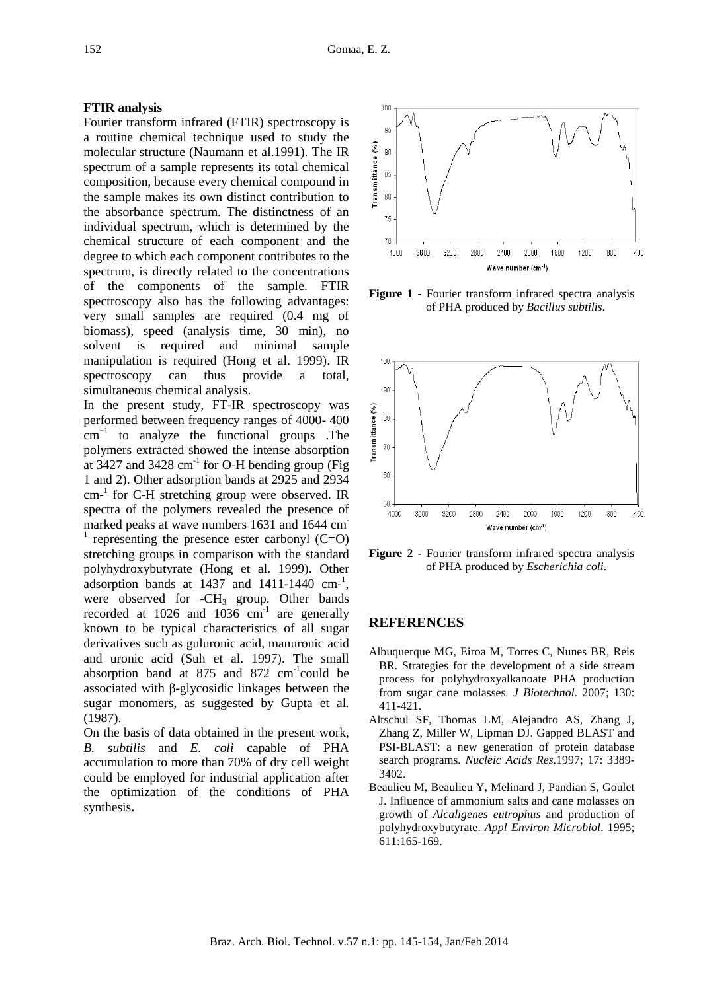#### **FTIR analysis**

Fourier transform infrared (FTIR) spectroscopy is a routine chemical technique used to study the molecular structure (Naumann et al.1991). The IR spectrum of a sample represents its total chemical composition, because every chemical compound in the sample makes its own distinct contribution to the absorbance spectrum. The distinctness of an individual spectrum, which is determined by the chemical structure of each component and the degree to which each component contributes to the spectrum, is directly related to the concentrations of the components of the sample. FTIR spectroscopy also has the following advantages: very small samples are required (0.4 mg of biomass), speed (analysis time, 30 min), no solvent is required and minimal sample manipulation is required (Hong et al. 1999). IR spectroscopy can thus provide a total, simultaneous chemical analysis.

In the present study, FT-IR spectroscopy was performed between frequency ranges of 4000- 400  $cm^{-1}$  to analyze the functional groups .The polymers extracted showed the intense absorption at 3427 and 3428  $cm^{-1}$  for O-H bending group (Fig. 1 and 2). Other adsorption bands at 2925 and 2934 cm<sup>-1</sup> for C-H stretching group were observed. IR spectra of the polymers revealed the presence of marked peaks at wave numbers 1631 and 1644 cm<sup>-</sup>  $<sup>1</sup>$  representing the presence ester carbonyl (C=O)</sup> stretching groups in comparison with the standard polyhydroxybutyrate (Hong et al. 1999). Other adsorption bands at  $1437$  and  $1411-1440$  cm<sup>-1</sup>, were observed for  $-CH_3$  group. Other bands recorded at 1026 and 1036  $cm^{-1}$  are generally known to be typical characteristics of all sugar derivatives such as guluronic acid, manuronic acid and uronic acid (Suh et al. 1997). The small absorption band at  $875$  and  $872$  cm<sup>-1</sup>could be associated with β-glycosidic linkages between the sugar monomers, as suggested by Gupta et al*.* (1987).

On the basis of data obtained in the present work, *B. subtilis* and *E. coli* capable of PHA accumulation to more than 70% of dry cell weight could be employed for industrial application after the optimization of the conditions of PHA synthesis**.** 



**Figure 1 -** Fourier transform infrared spectra analysis of PHA produced by *Bacillus subtilis*.



**Figure 2 -** Fourier transform infrared spectra analysis of PHA produced by *Escherichia coli*.

#### **REFERENCES**

- Albuquerque MG, Eiroa M, Torres C, Nunes BR, Reis BR. Strategies for the development of a side stream process for polyhydroxyalkanoate PHA production from sugar cane molasses. *J Biotechnol*. 2007; 130: 411-421.
- Altschul SF, Thomas LM, Alejandro AS, Zhang J, Zhang Z, Miller W, Lipman DJ. Gapped BLAST and PSI-BLAST: a new generation of protein database search programs. *Nucleic Acids Res*.1997; 17: 3389- 3402.
- Beaulieu M, Beaulieu Y, Melinard J, Pandian S, Goulet J. Influence of ammonium salts and cane molasses on growth of *Alcaligenes eutrophus* and production of polyhydroxybutyrate. *Appl Environ Microbiol*. 1995; 611:165-169.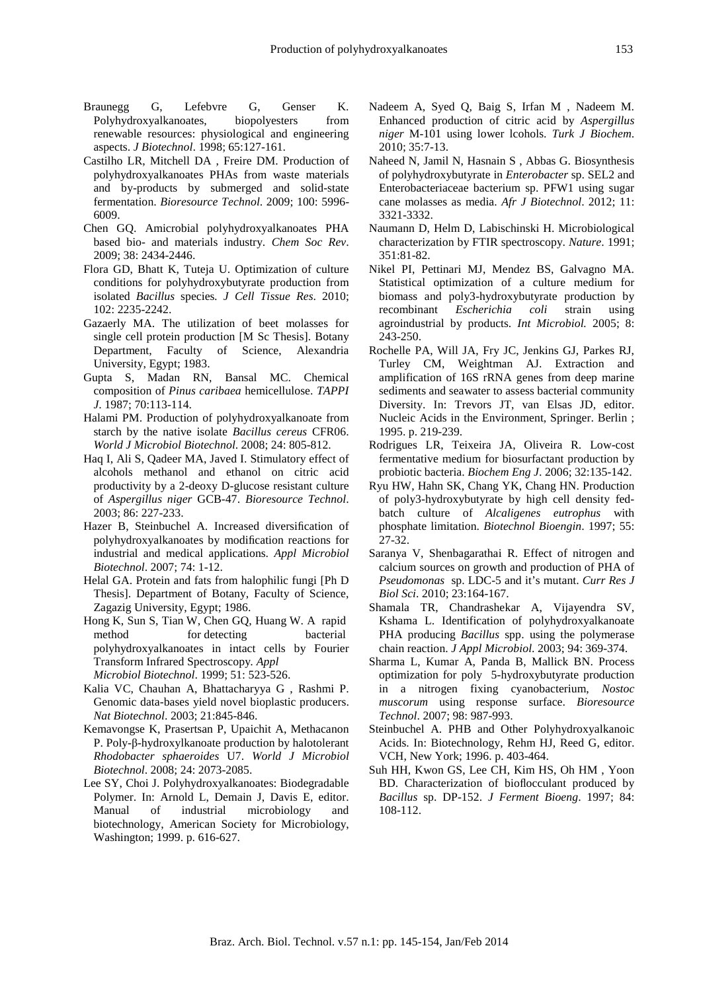- Braunegg G, Lefebvre G, Genser K. Polyhydroxyalkanoates, biopolyesters from renewable resources: physiological and engineering aspects. *J Biotechnol*. 1998; 65:127-161.
- Castilho LR, Mitchell DA , Freire DM. Production of polyhydroxyalkanoates PHAs from waste materials and by-products by submerged and solid-state fermentation. *Bioresource Technol*. 2009; 100: 5996- 6009.
- Chen GQ. Amicrobial polyhydroxyalkanoates PHA based bio- and materials industry. *Chem Soc Rev*. 2009; 38: 2434-2446.
- Flora GD, Bhatt K, Tuteja U. Optimization of culture conditions for polyhydroxybutyrate production from isolated *Bacillus* species*. J Cell Tissue Res*. 2010; 102: 2235-2242.
- Gazaerly MA. The utilization of beet molasses for single cell protein production [M Sc Thesis]. Botany Department, Faculty of Science, Alexandria University, Egypt; 1983.
- Gupta S, Madan RN, Bansal MC. Chemical composition of *Pinus caribaea* hemicellulose. *TAPPI J*. 1987; 70:113-114.
- Halami PM. Production of polyhydroxyalkanoate from starch by the native isolate *Bacillus cereus* CFR06. *World J Microbiol Biotechnol*. 2008; 24: 805-812.
- Haq I, Ali S, Qadeer MA, Javed I. Stimulatory effect of alcohols methanol and ethanol on citric acid productivity by a 2-deoxy D-glucose resistant culture of *Aspergillus niger* GCB-47. *Bioresource Technol*. 2003; 86: 227-233.
- Hazer B, Steinbuchel A. Increased diversification of polyhydroxyalkanoates by modification reactions for industrial and medical applications. *Appl Microbiol Biotechnol*. 2007; 74: 1-12.
- Helal GA. Protein and fats from halophilic fungi [Ph D Thesis]. Department of Botany, Faculty of Science, Zagazig University, Egypt; 1986.
- Hong K, Sun S, Tian W, Chen GQ, Huang W. A rapid method for detecting bacterial polyhydroxyalkanoates in intact cells by Fourier Transform Infrared Spectroscopy*. Appl Microbiol Biotechnol*. 1999; 51: 523-526.
- Kalia VC, Chauhan A, Bhattacharyya G , Rashmi P. Genomic data-bases yield novel bioplastic producers. *Nat Biotechnol*. 2003; 21:845-846.
- Kemavongse K, Prasertsan P, Upaichit A, Methacanon P. Poly-β-hydroxylkanoate production by halotolerant *Rhodobacter sphaeroides* U7. *World J Microbiol Biotechnol*. 2008; 24: 2073-2085.
- Lee SY, Choi J. Polyhydroxyalkanoates: Biodegradable Polymer. In: Arnold L, Demain J, Davis E, editor. Manual of industrial microbiology and biotechnology, American Society for Microbiology, Washington; 1999. p. 616-627.
- Nadeem A, Syed Q, Baig S, Irfan M , Nadeem M. Enhanced production of citric acid by *Aspergillus niger* M-101 using lower lcohols. *Turk J Biochem*. 2010; 35:7-13.
- Naheed N, Jamil N, Hasnain S , Abbas G. Biosynthesis of polyhydroxybutyrate in *Enterobacter* sp. SEL2 and Enterobacteriaceae bacterium sp. PFW1 using sugar cane molasses as media. *Afr J Biotechnol*. 2012; 11: 3321-3332.
- Naumann D, Helm D, Labischinski H. Microbiological characterization by FTIR spectroscopy. *Nature*. 1991; 351:81-82.
- Nikel PI, Pettinari MJ, Mendez BS, Galvagno MA. Statistical optimization of a culture medium for biomass and poly3-hydroxybutyrate production by recombinant *Escherichia coli* strain using agroindustrial by products. *Int Microbiol.* 2005; 8: 243-250.
- Rochelle PA, Will JA, Fry JC, Jenkins GJ, Parkes RJ, Turley CM, Weightman AJ. Extraction and amplification of 16S rRNA genes from deep marine sediments and seawater to assess bacterial community Diversity. In: Trevors JT, van Elsas JD, editor. Nucleic Acids in the Environment, Springer. Berlin ; 1995. p. 219-239.
- Rodrigues LR, Teixeira JA, Oliveira R. Low-cost fermentative medium for biosurfactant production by probiotic bacteria. *Biochem Eng J*. 2006; 32:135-142.
- Ryu HW, Hahn SK, Chang YK, Chang HN. Production of poly3-hydroxybutyrate by high cell density fedbatch culture of *Alcaligenes eutrophus* with phosphate limitation. *Biotechnol Bioengin*. 1997; 55: 27-32.
- Saranya V, Shenbagarathai R. Effect of nitrogen and calcium sources on growth and production of PHA of *Pseudomonas* sp. LDC-5 and it's mutant. *Curr Res J Biol Sci*. 2010; 23:164-167.
- Shamala TR, Chandrashekar A, Vijayendra SV, Kshama L. Identification of polyhydroxyalkanoate PHA producing *Bacillus* spp. using the polymerase chain reaction. *J Appl Microbiol*. 2003; 94: 369-374.
- Sharma L, Kumar A, Panda B, Mallick BN. Process optimization for poly 5-hydroxybutyrate production in a nitrogen fixing cyanobacterium, *Nostoc muscorum* using response surface. *Bioresource Technol*. 2007; 98: 987-993.
- Steinbuchel A. PHB and Other Polyhydroxyalkanoic Acids. In: Biotechnology, Rehm HJ, Reed G, editor. VCH, New York; 1996. p. 403-464.
- Suh HH, Kwon GS, Lee CH, Kim HS, Oh HM , Yoon BD. Characterization of bioflocculant produced by *Bacillus* sp. DP-152. *J Ferment Bioeng*. 1997; 84: 108-112.